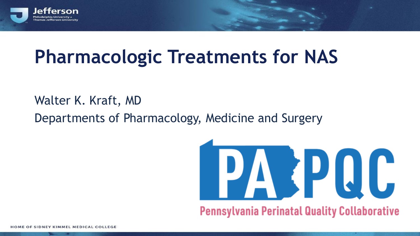

## **Pharmacologic Treatments for NAS**

Walter K. Kraft, MD

Departments of Pharmacology, Medicine and Surgery

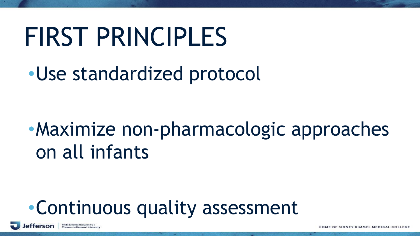# FIRST PRINCIPLES

•Use standardized protocol

# •Maximize non-pharmacologic approaches on all infants

## •Continuous quality assessment

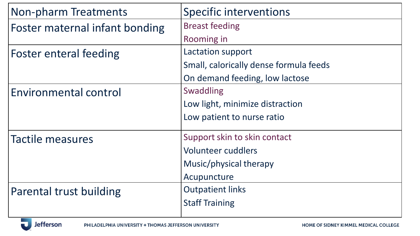| Non-pharm Treatments           | <b>Specific interventions</b>          |
|--------------------------------|----------------------------------------|
| Foster maternal infant bonding | <b>Breast feeding</b>                  |
|                                | Rooming in                             |
| <b>Foster enteral feeding</b>  | Lactation support                      |
|                                | Small, calorically dense formula feeds |
|                                | On demand feeding, low lactose         |
| Environmental control          | <b>Swaddling</b>                       |
|                                | Low light, minimize distraction        |
|                                | Low patient to nurse ratio             |
| Tactile measures               | Support skin to skin contact           |
|                                | <b>Volunteer cuddlers</b>              |
|                                | Music/physical therapy                 |
|                                | Acupuncture                            |
| Parental trust building        | <b>Outpatient links</b>                |
|                                | <b>Staff Training</b>                  |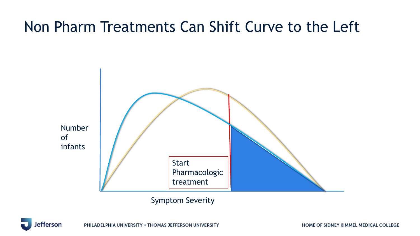#### Non Pharm Treatments Can Shift Curve to the Left



Symptom Severity

fferson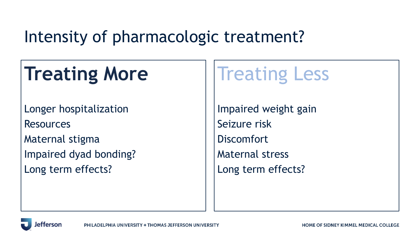#### Intensity of pharmacologic treatment?

# **Treating More**

Longer hospitalization

Resources

Maternal stigma Impaired dyad bonding? Long term effects?

# Treating Less

Impaired weight gain Seizure risk **Discomfort** Maternal stress Long term effects?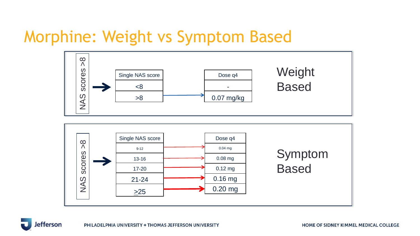#### Morphine: Weight vs Symptom Based





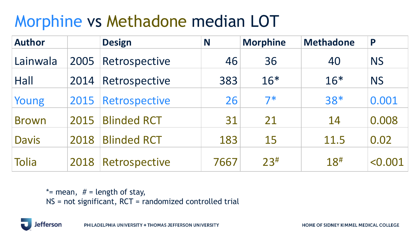#### Morphine vs Methadone median LOT

| <b>Author</b> |      | <b>Design</b>      | N    | <b>Morphine</b> | <b>Methadone</b> | P                       |
|---------------|------|--------------------|------|-----------------|------------------|-------------------------|
| Lainwala      | 2005 | Retrospective      | 46   | 36              | 40               | <b>NS</b>               |
| Hall          | 2014 | Retrospective      | 383  | $16*$           | $16*$            | <b>NS</b>               |
| Young         | 2015 | Retrospective      | 26   | $7*$            | 38*              | 0.001                   |
| <b>Brown</b>  | 2015 | <b>Blinded RCT</b> | 31   | 21              | 14               | 0.008                   |
| <b>Davis</b>  | 2018 | <b>Blinded RCT</b> | 183  | 15              | 11.5             | 0.02                    |
| Tolia         | 2018 | Retrospective      | 7667 | 23#             | $18^{\#}$        | $\langle 0.001 \rangle$ |

\*= mean,  $#$  = length of stay, NS = not significant, RCT = randomized controlled trial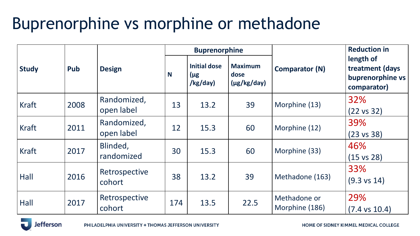### Buprenorphine vs morphine or methadone

|              |      |                           | <b>Buprenorphine</b> |                                             |                                            |                                | <b>Reduction in</b>                                             |
|--------------|------|---------------------------|----------------------|---------------------------------------------|--------------------------------------------|--------------------------------|-----------------------------------------------------------------|
| <b>Study</b> | Pub  | <b>Design</b>             | N                    | <b>Initial dose</b><br>$(\mu$ g<br>/kg/day) | <b>Maximum</b><br>dose<br>$(\mu g/kg/day)$ | <b>Comparator (N)</b>          | length of<br>treatment (days<br>buprenorphine vs<br>comparator) |
| <b>Kraft</b> | 2008 | Randomized,<br>open label | 13                   | 13.2                                        | 39                                         | Morphine (13)                  | 32%<br>$(22 \text{ vs } 32)$                                    |
| <b>Kraft</b> | 2011 | Randomized,<br>open label | 12                   | 15.3                                        | 60                                         | Morphine (12)                  | 39%<br>$(23 \text{ vs } 38)$                                    |
| <b>Kraft</b> | 2017 | Blinded,<br>randomized    | 30                   | 15.3                                        | 60                                         | Morphine (33)                  | 46%<br>$(15 \text{ vs } 28)$                                    |
| Hall         | 2016 | Retrospective<br>cohort   | 38                   | 13.2                                        | 39                                         | Methadone (163)                | 33%<br>$(9.3 \text{ vs } 14)$                                   |
| Hall         | 2017 | Retrospective<br>cohort   | 174                  | 13.5                                        | 22.5                                       | Methadone or<br>Morphine (186) | 29%<br>$(7.4 \text{ vs } 10.4)$                                 |

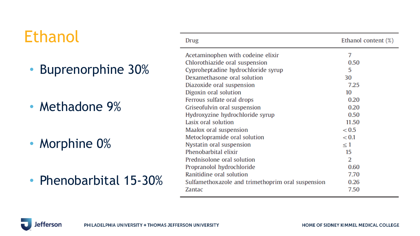#### Ethanol

- Buprenorphine 30%
- Methadone 9%
- Morphine 0%

fferson

Ιe

• Phenobarbital 15-30%

| Drug                                              | Ethanol content $(\%)$ |
|---------------------------------------------------|------------------------|
| Acetaminophen with codeine elixir                 | 7                      |
| Chlorothiazide oral suspension                    | 0.50                   |
| Cyproheptadine hydrochloride syrup                | 5                      |
| Dexamethasone oral solution                       | 30                     |
| Diazoxide oral suspension                         | 7.25                   |
| Digoxin oral solution                             | 10                     |
| Ferrous sulfate oral drops                        | 0.20                   |
| Griseofulvin oral suspension                      | 0.20                   |
| Hydroxyzine hydrochloride syrup                   | 0.50                   |
| Lasix oral solution                               | 11.50                  |
| Maalox oral suspension                            | < 0.5                  |
| Metoclopramide oral solution                      | < 0.1                  |
| Nystatin oral suspension                          | $\leq 1$               |
| Phenobarbital elixir                              | 15                     |
| Prednisolone oral solution                        | 2                      |
| Propranolol hydrochloride                         | 0.60                   |
| Ranitidine oral solution                          | 7.70                   |
| Sulfamethoxazole and trimethoprim oral suspension | 0.26                   |
| Zantac                                            | 7.50                   |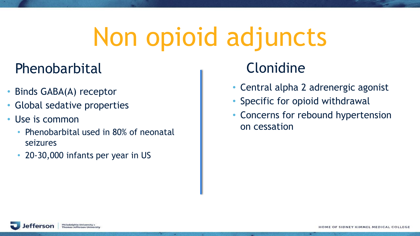# Non opioid adjuncts

- 20

#### Phenobarbital

- Binds GABA(A) receptor
- Global sedative properties
- Use is common
	- Phenobarbital used in 80% of neonatal seizures
	- 20-30,000 infants per year in US

#### Clonidine

- Central alpha 2 adrenergic agonist
- Specific for opioid withdrawal
- Concerns for rebound hypertension on cessation

.

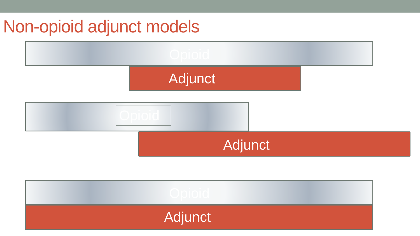#### Non-opioid adjunct models

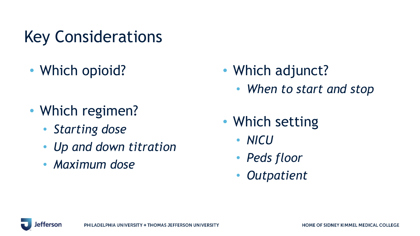Key Considerations

- Which opioid?
- Which regimen?
	- *Starting dose*
	- *Up and down titration*
	- *Maximum dose*
- Which adjunct?
	- *When to start and stop*
- Which setting
	- *NICU*
	- *Peds floor*
	- *Outpatient*